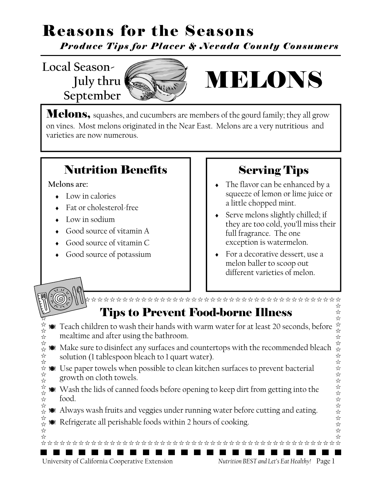*Produce Tips for Placer & Nevada County Consumers*

**Local Season- July thru September** 



# MELONS

**Melons**, squashes, and cucumbers are members of the gourd family; they all grow on vines. Most melons originated in the Near East. Melons are a very nutritious and varieties are now numerous.

### Nutrition Benefits

**Melons are:** 

- Low in calories
- Fat or cholesterol-free
- Low in sodium
- Good source of vitamin A
- Good source of vitamin C
- Good source of potassium

### Serving Tips

- The flavor can be enhanced by a squeeze of lemon or lime juice or a little chopped mint.
- Serve melons slightly chilled; if they are too cold, you'll miss their full fragrance. The one exception is watermelon.
- For a decorative dessert, use a melon baller to scoop out different varieties of melon.

### Tips to Prevent Food-borne Illness

- Teach children to wash their hands with warm water for at least 20 seconds, before mealtime and after using the bathroom.
- Make sure to disinfect any surfaces and countertops with the recommended bleach solution (1 tablespoon bleach to 1 quart water).
- Use paper towels when possible to clean kitchen surfaces to prevent bacterial growth on cloth towels.
- ☆☆☆☆☆☆☆☆☆☆☆☆☆☆☆☆☆☆☆☆ Wash the lids of canned foods before opening to keep dirt from getting into the food.
	- Always wash fruits and veggies under running water before cutting and eating.

**FILE** 

Refrigerate all perishable foods within 2 hours of cooking.

University of California Cooperative Extension *Nutrition BEST and Let's Eat Healthy!* Page 1

☆☆☆☆☆☆☆☆☆☆☆☆☆☆☆☆☆☆☆☆☆☆☆☆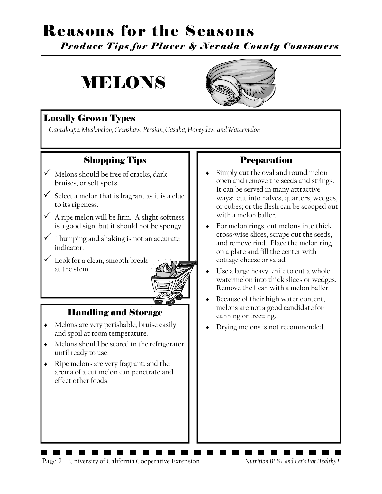*Produce Tips for Placer & Nevada County Consumers*

# MELONS



### Locally Grown Types

*Cantaloupe, Muskmelon, Crenshaw, Persian, Casaba, Honeydew, and Watermelon* 

### Shopping Tips

- $\checkmark$  Melons should be free of cracks, dark bruises, or soft spots.
- $\checkmark$  Select a melon that is fragrant as it is a clue to its ripeness.
- $\checkmark$  A ripe melon will be firm. A slight softness is a good sign, but it should not be spongy.
- $\checkmark$  Thumping and shaking is not an accurate indicator.
- $\checkmark$  Look for a clean, smooth break at the stem.



### Handling and Storage

- Melons are very perishable, bruise easily, and spoil at room temperature.
- Melons should be stored in the refrigerator until ready to use.
- Ripe melons are very fragrant, and the aroma of a cut melon can penetrate and effect other foods.

### Preparation

- Simply cut the oval and round melon open and remove the seeds and strings. It can be served in many attractive ways: cut into halves, quarters, wedges, or cubes; or the flesh can be scooped out with a melon baller.
- For melon rings, cut melons into thick cross-wise slices, scrape out the seeds, and remove rind. Place the melon ring on a plate and fill the center with cottage cheese or salad.
- Use a large heavy knife to cut a whole watermelon into thick slices or wedges. Remove the flesh with a melon baller.
- ◆ Because of their high water content, melons are not a good candidate for canning or freezing.
- Drying melons is not recommended.

Page 2 University of California Cooperative Extension *Nutrition BEST and Let's Eat Healthy !*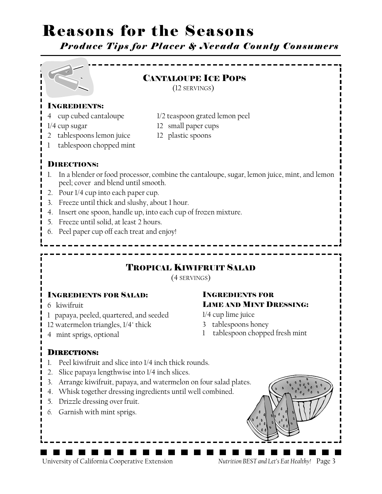*Produce Tips for Placer & Nevada County Consumers*



#### INGREDIENTS:

- 
- 
- 4 cup cubed cantaloupe 1/2 teaspoon grated lemon peel
- 1/4 cup sugar 12 small paper cups
- 2 tablespoons lemon juice 12 plastic spoons
- 
- 1 tablespoon chopped mint

#### DIRECTIONS:

- 1. In a blender or food processor, combine the cantaloupe, sugar, lemon juice, mint, and lemon peel; cover and blend until smooth.
- 2. Pour 1/4 cup into each paper cup.
- 3. Freeze until thick and slushy, about 1 hour.
- 4. Insert one spoon, handle up, into each cup of frozen mixture.
- 5. Freeze until solid, at least 2 hours.
- 6. Peel paper cup off each treat and enjoy!

### TROPICAL KIWIFRUIT SALAD

(4 SERVINGS)

#### INGREDIENTS FOR SALAD:

- 6 kiwifruit
- 1 papaya, peeled, quartered, and seeded
- 12 watermelon triangles, 1/4" thick
- 4 mint sprigs, optional

#### INGREDIENTS FOR LIME AND MINT DRESSING:

1/4 cup lime juice

- 3 tablespoons honey
- 1 tablespoon chopped fresh mint

#### DIRECTIONS:

- 1. Peel kiwifruit and slice into 1/4 inch thick rounds.
- 2. Slice papaya lengthwise into 1/4 inch slices.
- 3. Arrange kiwifruit, papaya, and watermelon on four salad plates.
- 4. Whisk together dressing ingredients until well combined.
- 5. Drizzle dressing over fruit.
- *6.* Garnish with mint sprigs.

University of California Cooperative Extension *Nutrition BEST and Let's Eat Healthy!* Page 3